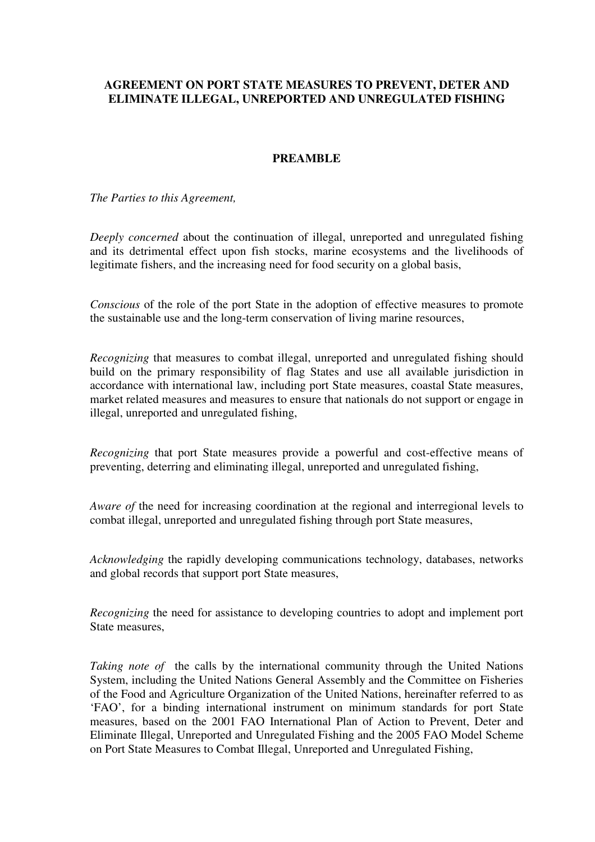# **AGREEMENT ON PORT STATE MEASURES TO PREVENT, DETER AND ELIMINATE ILLEGAL, UNREPORTED AND UNREGULATED FISHING**

#### **PREAMBLE**

*The Parties to this Agreement,* 

*Deeply concerned* about the continuation of illegal, unreported and unregulated fishing and its detrimental effect upon fish stocks, marine ecosystems and the livelihoods of legitimate fishers, and the increasing need for food security on a global basis,

*Conscious* of the role of the port State in the adoption of effective measures to promote the sustainable use and the long-term conservation of living marine resources,

*Recognizing* that measures to combat illegal, unreported and unregulated fishing should build on the primary responsibility of flag States and use all available jurisdiction in accordance with international law, including port State measures, coastal State measures, market related measures and measures to ensure that nationals do not support or engage in illegal, unreported and unregulated fishing,

*Recognizing* that port State measures provide a powerful and cost-effective means of preventing, deterring and eliminating illegal, unreported and unregulated fishing,

*Aware of the need for increasing coordination at the regional and interregional levels to* combat illegal, unreported and unregulated fishing through port State measures,

*Acknowledging* the rapidly developing communications technology, databases, networks and global records that support port State measures,

*Recognizing* the need for assistance to developing countries to adopt and implement port State measures,

*Taking note of* the calls by the international community through the United Nations System, including the United Nations General Assembly and the Committee on Fisheries of the Food and Agriculture Organization of the United Nations, hereinafter referred to as 'FAO', for a binding international instrument on minimum standards for port State measures, based on the 2001 FAO International Plan of Action to Prevent, Deter and Eliminate Illegal, Unreported and Unregulated Fishing and the 2005 FAO Model Scheme on Port State Measures to Combat Illegal, Unreported and Unregulated Fishing,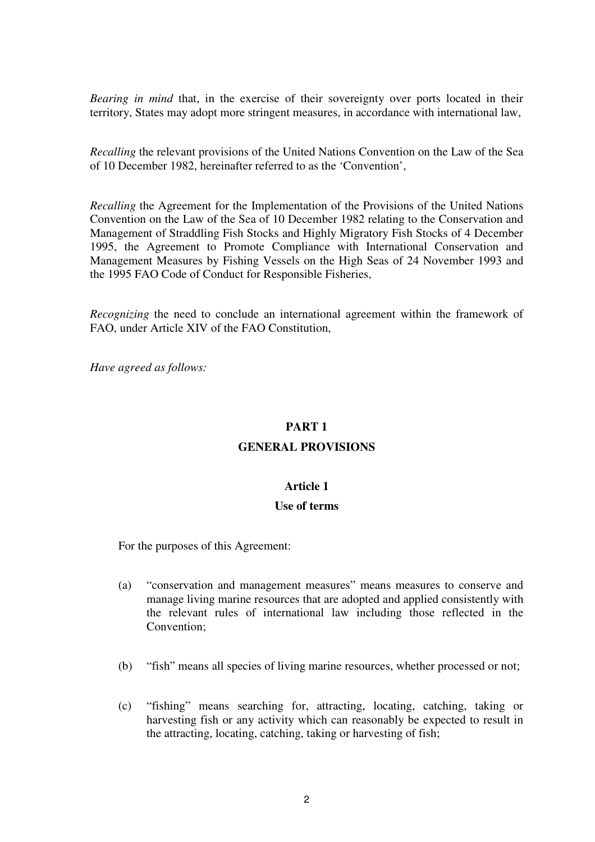*Bearing in mind* that, in the exercise of their sovereignty over ports located in their territory, States may adopt more stringent measures, in accordance with international law,

*Recalling* the relevant provisions of the United Nations Convention on the Law of the Sea of 10 December 1982, hereinafter referred to as the 'Convention',

*Recalling* the Agreement for the Implementation of the Provisions of the United Nations Convention on the Law of the Sea of 10 December 1982 relating to the Conservation and Management of Straddling Fish Stocks and Highly Migratory Fish Stocks of 4 December 1995, the Agreement to Promote Compliance with International Conservation and Management Measures by Fishing Vessels on the High Seas of 24 November 1993 and the 1995 FAO Code of Conduct for Responsible Fisheries,

*Recognizing* the need to conclude an international agreement within the framework of FAO, under Article XIV of the FAO Constitution,

*Have agreed as follows:* 

#### **PART 1**

## **GENERAL PROVISIONS**

## **Article 1**

#### **Use of terms**

For the purposes of this Agreement:

- (a) "conservation and management measures" means measures to conserve and manage living marine resources that are adopted and applied consistently with the relevant rules of international law including those reflected in the Convention;
- (b) "fish" means all species of living marine resources, whether processed or not;
- (c) "fishing" means searching for, attracting, locating, catching, taking or harvesting fish or any activity which can reasonably be expected to result in the attracting, locating, catching, taking or harvesting of fish;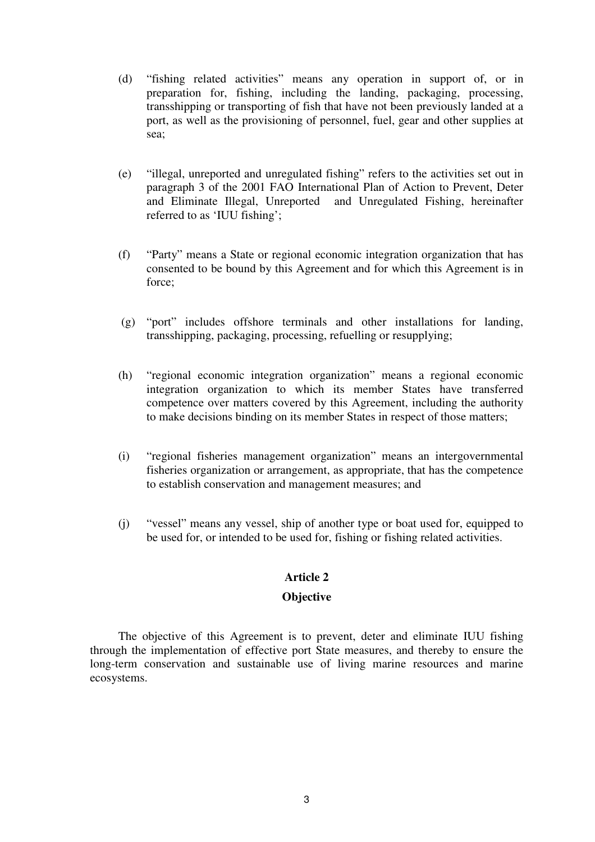- (d) "fishing related activities" means any operation in support of, or in preparation for, fishing, including the landing, packaging, processing, transshipping or transporting of fish that have not been previously landed at a port, as well as the provisioning of personnel, fuel, gear and other supplies at sea;
- (e) "illegal, unreported and unregulated fishing" refers to the activities set out in paragraph 3 of the 2001 FAO International Plan of Action to Prevent, Deter and Eliminate Illegal, Unreported and Unregulated Fishing, hereinafter referred to as 'IUU fishing';
- (f) "Party" means a State or regional economic integration organization that has consented to be bound by this Agreement and for which this Agreement is in force;
- (g) "port" includes offshore terminals and other installations for landing, transshipping, packaging, processing, refuelling or resupplying;
- (h) "regional economic integration organization" means a regional economic integration organization to which its member States have transferred competence over matters covered by this Agreement, including the authority to make decisions binding on its member States in respect of those matters;
- (i) "regional fisheries management organization" means an intergovernmental fisheries organization or arrangement, as appropriate, that has the competence to establish conservation and management measures; and
- (j) "vessel" means any vessel, ship of another type or boat used for, equipped to be used for, or intended to be used for, fishing or fishing related activities.

# **Objective**

 The objective of this Agreement is to prevent, deter and eliminate IUU fishing through the implementation of effective port State measures, and thereby to ensure the long-term conservation and sustainable use of living marine resources and marine ecosystems.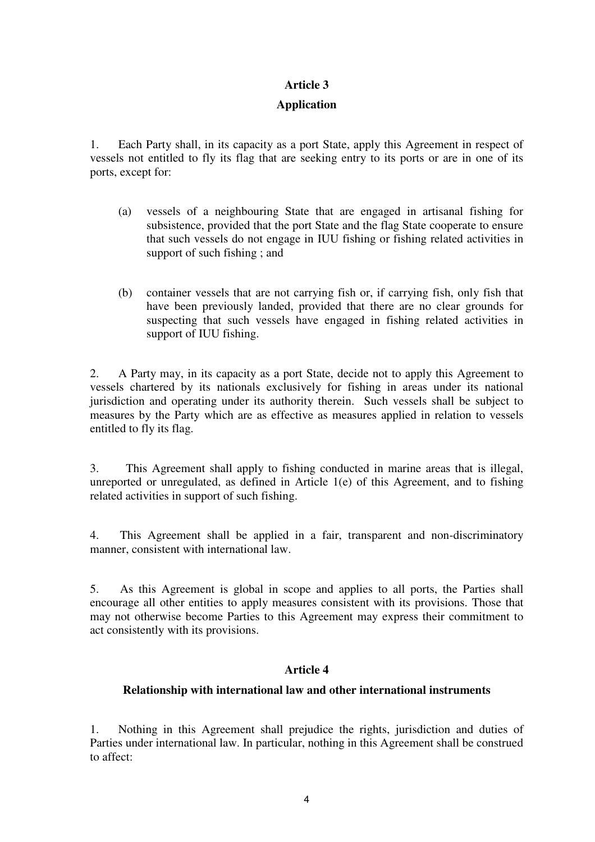## **Application**

1. Each Party shall, in its capacity as a port State, apply this Agreement in respect of vessels not entitled to fly its flag that are seeking entry to its ports or are in one of its ports, except for:

- (a) vessels of a neighbouring State that are engaged in artisanal fishing for subsistence, provided that the port State and the flag State cooperate to ensure that such vessels do not engage in IUU fishing or fishing related activities in support of such fishing ; and
- (b) container vessels that are not carrying fish or, if carrying fish, only fish that have been previously landed, provided that there are no clear grounds for suspecting that such vessels have engaged in fishing related activities in support of IUU fishing.

2. A Party may, in its capacity as a port State, decide not to apply this Agreement to vessels chartered by its nationals exclusively for fishing in areas under its national jurisdiction and operating under its authority therein. Such vessels shall be subject to measures by the Party which are as effective as measures applied in relation to vessels entitled to fly its flag.

3. This Agreement shall apply to fishing conducted in marine areas that is illegal, unreported or unregulated, as defined in Article 1(e) of this Agreement, and to fishing related activities in support of such fishing.

4. This Agreement shall be applied in a fair, transparent and non-discriminatory manner, consistent with international law.

5. As this Agreement is global in scope and applies to all ports, the Parties shall encourage all other entities to apply measures consistent with its provisions. Those that may not otherwise become Parties to this Agreement may express their commitment to act consistently with its provisions.

# **Article 4**

## **Relationship with international law and other international instruments**

1. Nothing in this Agreement shall prejudice the rights, jurisdiction and duties of Parties under international law. In particular, nothing in this Agreement shall be construed to affect: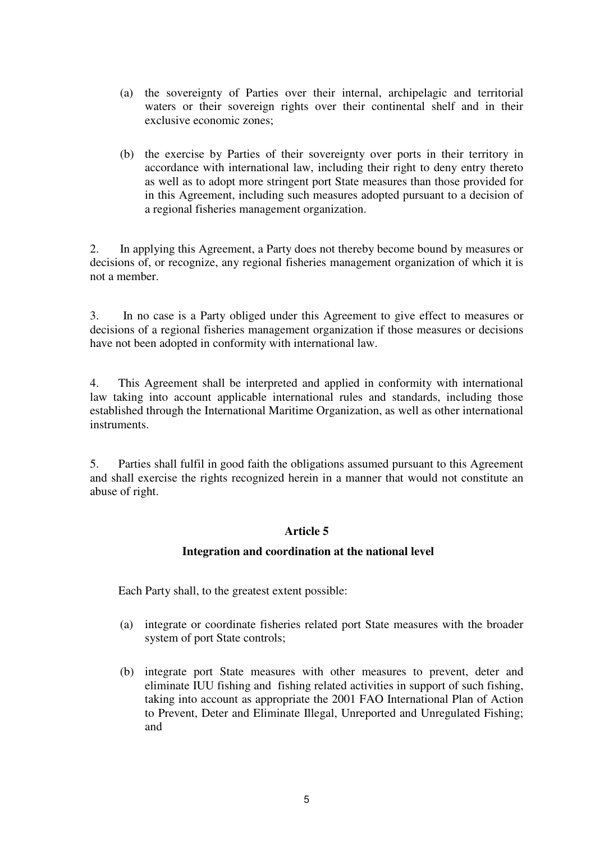- (a) the sovereignty of Parties over their internal, archipelagic and territorial waters or their sovereign rights over their continental shelf and in their exclusive economic zones;
- (b) the exercise by Parties of their sovereignty over ports in their territory in accordance with international law, including their right to deny entry thereto as well as to adopt more stringent port State measures than those provided for in this Agreement, including such measures adopted pursuant to a decision of a regional fisheries management organization.

2. In applying this Agreement, a Party does not thereby become bound by measures or decisions of, or recognize, any regional fisheries management organization of which it is not a member.

3. In no case is a Party obliged under this Agreement to give effect to measures or decisions of a regional fisheries management organization if those measures or decisions have not been adopted in conformity with international law.

4. This Agreement shall be interpreted and applied in conformity with international law taking into account applicable international rules and standards, including those established through the International Maritime Organization, as well as other international instruments.

5. Parties shall fulfil in good faith the obligations assumed pursuant to this Agreement and shall exercise the rights recognized herein in a manner that would not constitute an abuse of right.

# **Article 5**

## **Integration and coordination at the national level**

Each Party shall, to the greatest extent possible:

- (a) integrate or coordinate fisheries related port State measures with the broader system of port State controls;
- (b) integrate port State measures with other measures to prevent, deter and eliminate IUU fishing and fishing related activities in support of such fishing, taking into account as appropriate the 2001 FAO International Plan of Action to Prevent, Deter and Eliminate Illegal, Unreported and Unregulated Fishing; and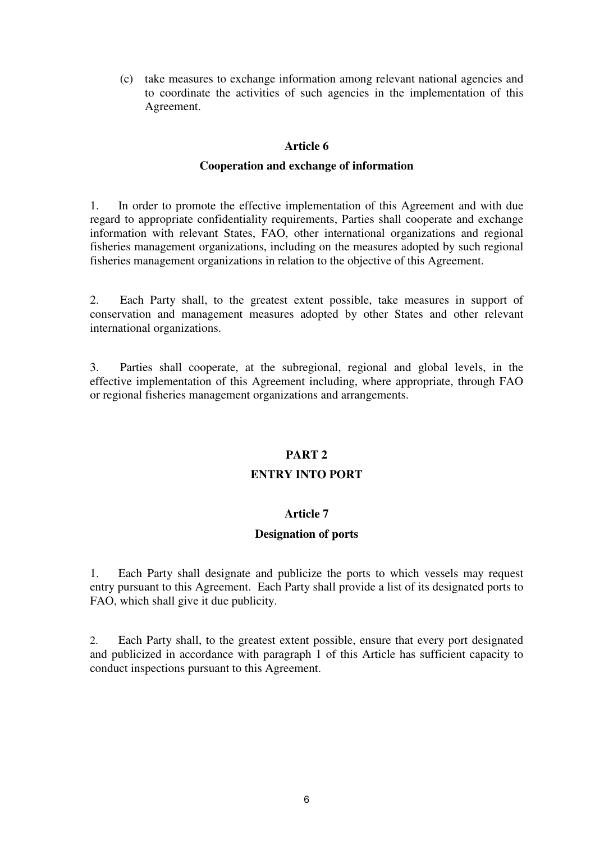(c) take measures to exchange information among relevant national agencies and to coordinate the activities of such agencies in the implementation of this Agreement.

# **Article 6**

# **Cooperation and exchange of information**

1. In order to promote the effective implementation of this Agreement and with due regard to appropriate confidentiality requirements, Parties shall cooperate and exchange information with relevant States, FAO, other international organizations and regional fisheries management organizations, including on the measures adopted by such regional fisheries management organizations in relation to the objective of this Agreement.

2. Each Party shall, to the greatest extent possible, take measures in support of conservation and management measures adopted by other States and other relevant international organizations.

3. Parties shall cooperate, at the subregional, regional and global levels, in the effective implementation of this Agreement including, where appropriate, through FAO or regional fisheries management organizations and arrangements.

## **PART 2**

# **ENTRY INTO PORT**

# **Article 7**

## **Designation of ports**

1. Each Party shall designate and publicize the ports to which vessels may request entry pursuant to this Agreement. Each Party shall provide a list of its designated ports to FAO, which shall give it due publicity.

2. Each Party shall, to the greatest extent possible, ensure that every port designated and publicized in accordance with paragraph 1 of this Article has sufficient capacity to conduct inspections pursuant to this Agreement.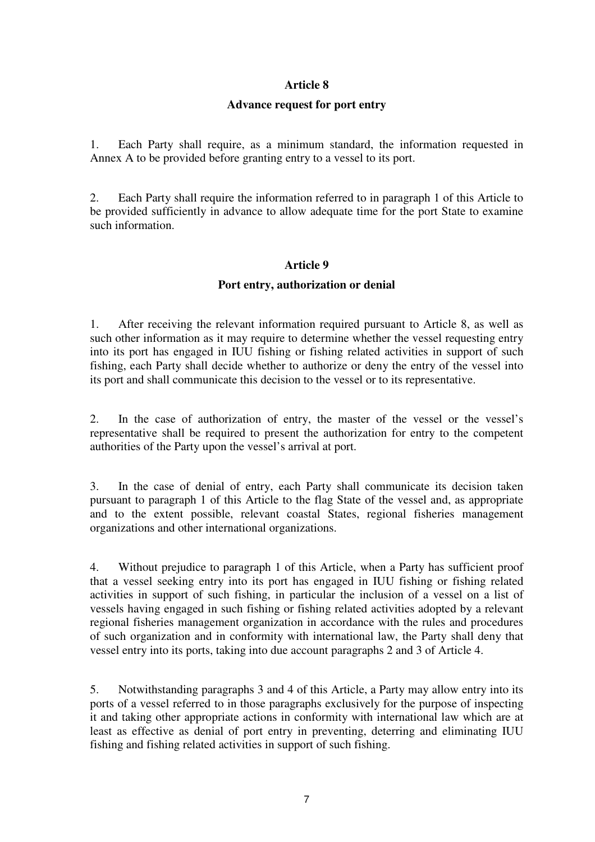#### **Advance request for port entry**

1. Each Party shall require, as a minimum standard, the information requested in Annex A to be provided before granting entry to a vessel to its port.

2. Each Party shall require the information referred to in paragraph 1 of this Article to be provided sufficiently in advance to allow adequate time for the port State to examine such information.

## **Article 9**

## **Port entry, authorization or denial**

1. After receiving the relevant information required pursuant to Article 8, as well as such other information as it may require to determine whether the vessel requesting entry into its port has engaged in IUU fishing or fishing related activities in support of such fishing, each Party shall decide whether to authorize or deny the entry of the vessel into its port and shall communicate this decision to the vessel or to its representative.

2. In the case of authorization of entry, the master of the vessel or the vessel's representative shall be required to present the authorization for entry to the competent authorities of the Party upon the vessel's arrival at port.

3. In the case of denial of entry, each Party shall communicate its decision taken pursuant to paragraph 1 of this Article to the flag State of the vessel and, as appropriate and to the extent possible, relevant coastal States, regional fisheries management organizations and other international organizations.

4. Without prejudice to paragraph 1 of this Article, when a Party has sufficient proof that a vessel seeking entry into its port has engaged in IUU fishing or fishing related activities in support of such fishing, in particular the inclusion of a vessel on a list of vessels having engaged in such fishing or fishing related activities adopted by a relevant regional fisheries management organization in accordance with the rules and procedures of such organization and in conformity with international law, the Party shall deny that vessel entry into its ports, taking into due account paragraphs 2 and 3 of Article 4.

5. Notwithstanding paragraphs 3 and 4 of this Article, a Party may allow entry into its ports of a vessel referred to in those paragraphs exclusively for the purpose of inspecting it and taking other appropriate actions in conformity with international law which are at least as effective as denial of port entry in preventing, deterring and eliminating IUU fishing and fishing related activities in support of such fishing.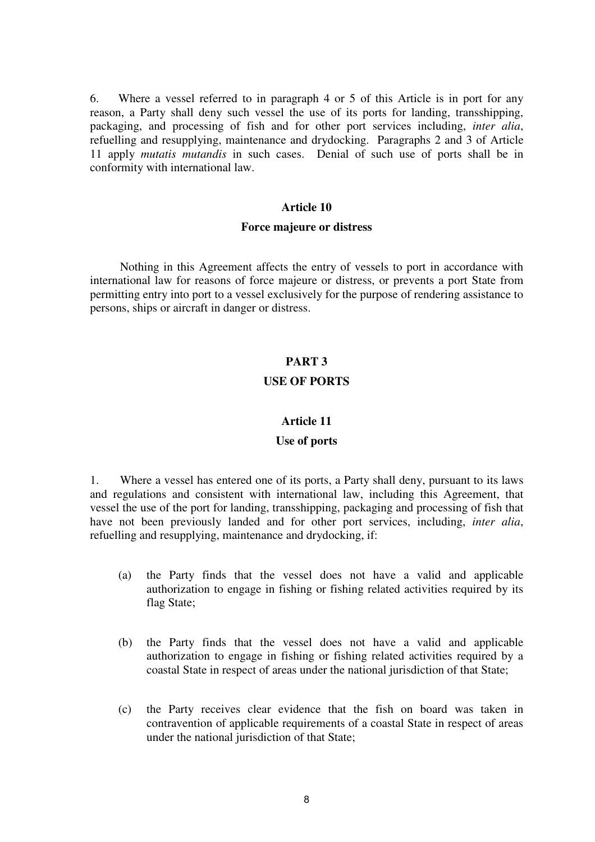6. Where a vessel referred to in paragraph 4 or 5 of this Article is in port for any reason, a Party shall deny such vessel the use of its ports for landing, transshipping, packaging, and processing of fish and for other port services including, *inter alia*, refuelling and resupplying, maintenance and drydocking. Paragraphs 2 and 3 of Article 11 apply *mutatis mutandis* in such cases. Denial of such use of ports shall be in conformity with international law.

#### **Article 10**

#### **Force majeure or distress**

 Nothing in this Agreement affects the entry of vessels to port in accordance with international law for reasons of force majeure or distress, or prevents a port State from permitting entry into port to a vessel exclusively for the purpose of rendering assistance to persons, ships or aircraft in danger or distress.

# **PART 3 USE OF PORTS**

#### **Article 11**

#### **Use of ports**

1. Where a vessel has entered one of its ports, a Party shall deny, pursuant to its laws and regulations and consistent with international law, including this Agreement, that vessel the use of the port for landing, transshipping, packaging and processing of fish that have not been previously landed and for other port services, including, *inter alia*, refuelling and resupplying, maintenance and drydocking, if:

- (a) the Party finds that the vessel does not have a valid and applicable authorization to engage in fishing or fishing related activities required by its flag State;
- (b) the Party finds that the vessel does not have a valid and applicable authorization to engage in fishing or fishing related activities required by a coastal State in respect of areas under the national jurisdiction of that State;
- (c) the Party receives clear evidence that the fish on board was taken in contravention of applicable requirements of a coastal State in respect of areas under the national jurisdiction of that State;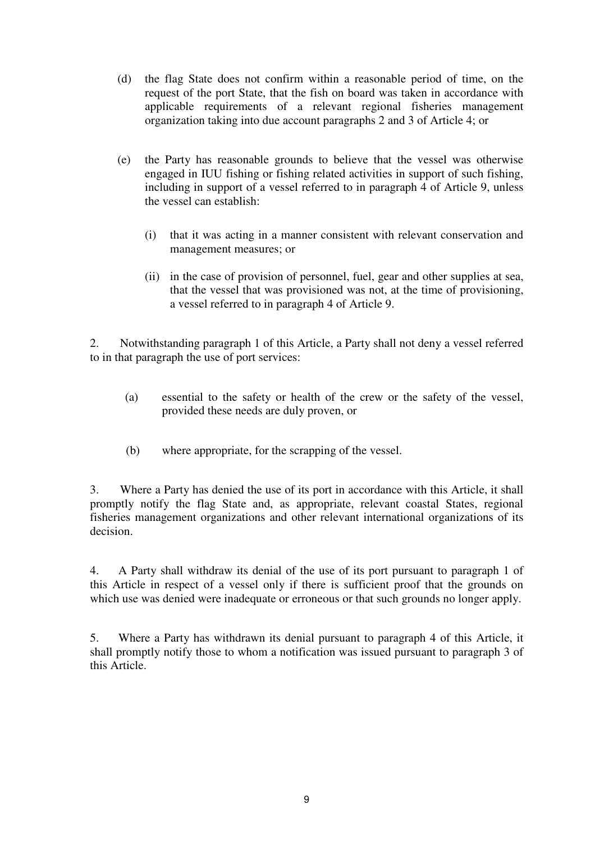- (d) the flag State does not confirm within a reasonable period of time, on the request of the port State, that the fish on board was taken in accordance with applicable requirements of a relevant regional fisheries management organization taking into due account paragraphs 2 and 3 of Article 4; or
- (e) the Party has reasonable grounds to believe that the vessel was otherwise engaged in IUU fishing or fishing related activities in support of such fishing, including in support of a vessel referred to in paragraph 4 of Article 9, unless the vessel can establish:
	- (i) that it was acting in a manner consistent with relevant conservation and management measures; or
	- (ii) in the case of provision of personnel, fuel, gear and other supplies at sea, that the vessel that was provisioned was not, at the time of provisioning, a vessel referred to in paragraph 4 of Article 9.

2. Notwithstanding paragraph 1 of this Article, a Party shall not deny a vessel referred to in that paragraph the use of port services:

- (a) essential to the safety or health of the crew or the safety of the vessel, provided these needs are duly proven, or
- (b) where appropriate, for the scrapping of the vessel.

3. Where a Party has denied the use of its port in accordance with this Article, it shall promptly notify the flag State and, as appropriate, relevant coastal States, regional fisheries management organizations and other relevant international organizations of its decision.

4. A Party shall withdraw its denial of the use of its port pursuant to paragraph 1 of this Article in respect of a vessel only if there is sufficient proof that the grounds on which use was denied were inadequate or erroneous or that such grounds no longer apply.

5. Where a Party has withdrawn its denial pursuant to paragraph 4 of this Article, it shall promptly notify those to whom a notification was issued pursuant to paragraph 3 of this Article.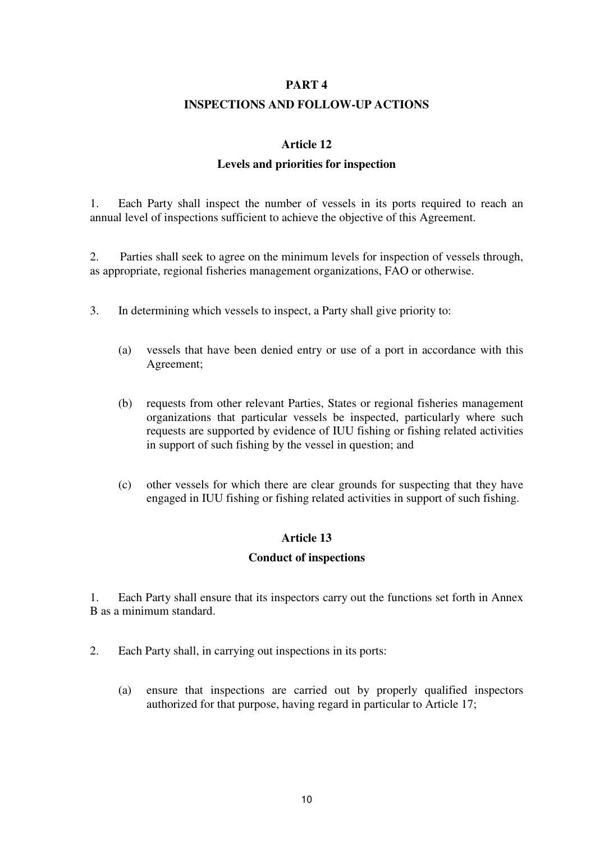#### **PART 4**

## **INSPECTIONS AND FOLLOW-UP ACTIONS**

## **Article 12**

#### **Levels and priorities for inspection**

1. Each Party shall inspect the number of vessels in its ports required to reach an annual level of inspections sufficient to achieve the objective of this Agreement.

2. Parties shall seek to agree on the minimum levels for inspection of vessels through, as appropriate, regional fisheries management organizations, FAO or otherwise.

- 3. In determining which vessels to inspect, a Party shall give priority to:
	- (a) vessels that have been denied entry or use of a port in accordance with this Agreement;
	- (b) requests from other relevant Parties, States or regional fisheries management organizations that particular vessels be inspected, particularly where such requests are supported by evidence of IUU fishing or fishing related activities in support of such fishing by the vessel in question; and
	- (c) other vessels for which there are clear grounds for suspecting that they have engaged in IUU fishing or fishing related activities in support of such fishing.

## **Article 13**

## **Conduct of inspections**

1. Each Party shall ensure that its inspectors carry out the functions set forth in Annex B as a minimum standard.

- 2. Each Party shall, in carrying out inspections in its ports:
	- (a) ensure that inspections are carried out by properly qualified inspectors authorized for that purpose, having regard in particular to Article 17;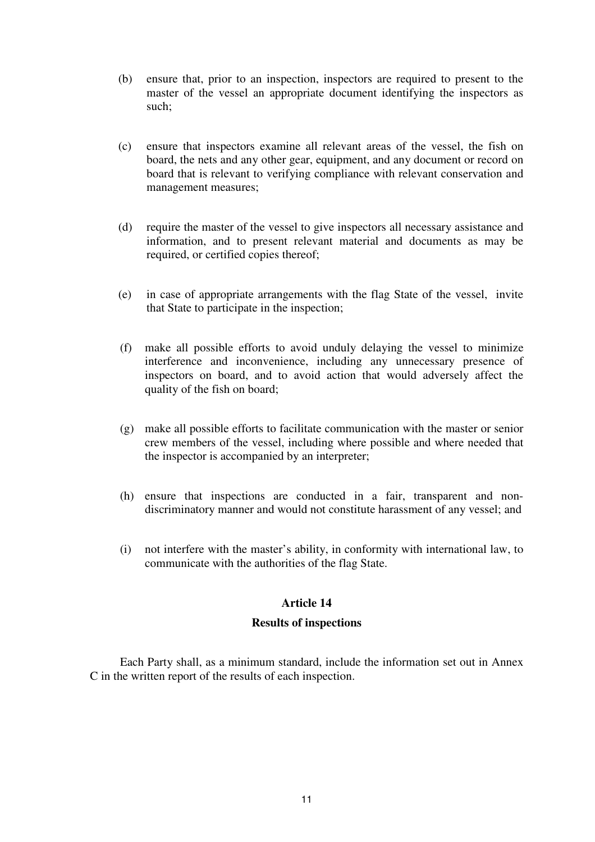- (b) ensure that, prior to an inspection, inspectors are required to present to the master of the vessel an appropriate document identifying the inspectors as such;
- (c) ensure that inspectors examine all relevant areas of the vessel, the fish on board, the nets and any other gear, equipment, and any document or record on board that is relevant to verifying compliance with relevant conservation and management measures;
- (d) require the master of the vessel to give inspectors all necessary assistance and information, and to present relevant material and documents as may be required, or certified copies thereof;
- (e) in case of appropriate arrangements with the flag State of the vessel, invite that State to participate in the inspection;
- (f) make all possible efforts to avoid unduly delaying the vessel to minimize interference and inconvenience, including any unnecessary presence of inspectors on board, and to avoid action that would adversely affect the quality of the fish on board;
- (g) make all possible efforts to facilitate communication with the master or senior crew members of the vessel, including where possible and where needed that the inspector is accompanied by an interpreter;
- (h) ensure that inspections are conducted in a fair, transparent and nondiscriminatory manner and would not constitute harassment of any vessel; and
- (i) not interfere with the master's ability, in conformity with international law, to communicate with the authorities of the flag State.

## **Results of inspections**

 Each Party shall, as a minimum standard, include the information set out in Annex C in the written report of the results of each inspection.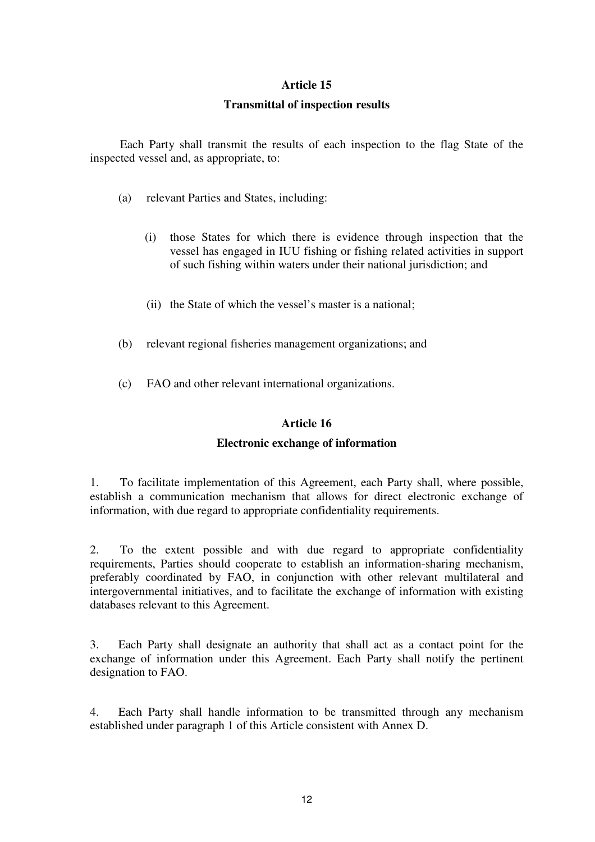## **Transmittal of inspection results**

 Each Party shall transmit the results of each inspection to the flag State of the inspected vessel and, as appropriate, to:

- (a) relevant Parties and States, including:
	- (i) those States for which there is evidence through inspection that the vessel has engaged in IUU fishing or fishing related activities in support of such fishing within waters under their national jurisdiction; and
	- (ii) the State of which the vessel's master is a national;
- (b) relevant regional fisheries management organizations; and
- (c) FAO and other relevant international organizations.

# **Article 16**

# **Electronic exchange of information**

1. To facilitate implementation of this Agreement, each Party shall, where possible, establish a communication mechanism that allows for direct electronic exchange of information, with due regard to appropriate confidentiality requirements.

2. To the extent possible and with due regard to appropriate confidentiality requirements, Parties should cooperate to establish an information-sharing mechanism, preferably coordinated by FAO, in conjunction with other relevant multilateral and intergovernmental initiatives, and to facilitate the exchange of information with existing databases relevant to this Agreement.

3. Each Party shall designate an authority that shall act as a contact point for the exchange of information under this Agreement. Each Party shall notify the pertinent designation to FAO.

4. Each Party shall handle information to be transmitted through any mechanism established under paragraph 1 of this Article consistent with Annex D.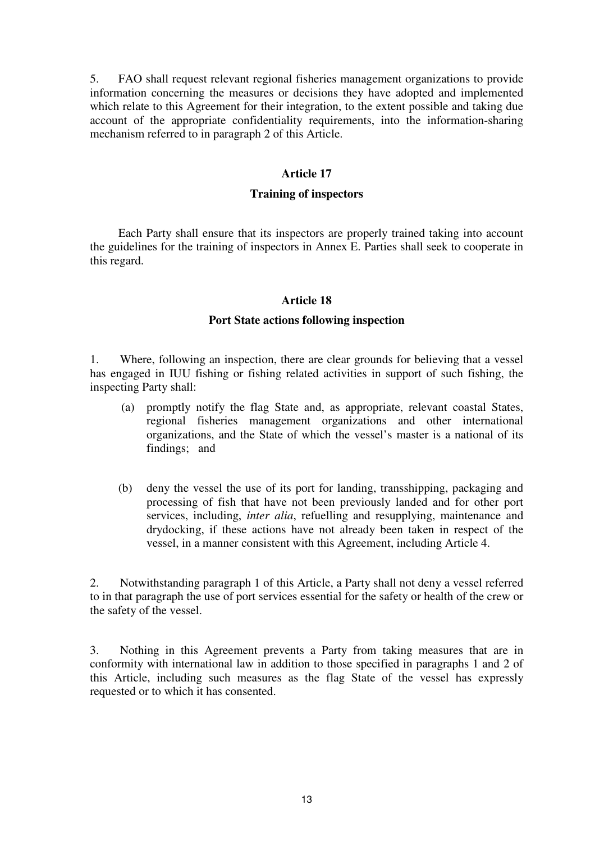5. FAO shall request relevant regional fisheries management organizations to provide information concerning the measures or decisions they have adopted and implemented which relate to this Agreement for their integration, to the extent possible and taking due account of the appropriate confidentiality requirements, into the information-sharing mechanism referred to in paragraph 2 of this Article.

#### **Article 17**

#### **Training of inspectors**

 Each Party shall ensure that its inspectors are properly trained taking into account the guidelines for the training of inspectors in Annex E. Parties shall seek to cooperate in this regard.

#### **Article 18**

#### **Port State actions following inspection**

1. Where, following an inspection, there are clear grounds for believing that a vessel has engaged in IUU fishing or fishing related activities in support of such fishing, the inspecting Party shall:

- (a) promptly notify the flag State and, as appropriate, relevant coastal States, regional fisheries management organizations and other international organizations, and the State of which the vessel's master is a national of its findings; and
- (b) deny the vessel the use of its port for landing, transshipping, packaging and processing of fish that have not been previously landed and for other port services, including, *inter alia*, refuelling and resupplying, maintenance and drydocking, if these actions have not already been taken in respect of the vessel, in a manner consistent with this Agreement, including Article 4.

2. Notwithstanding paragraph 1 of this Article, a Party shall not deny a vessel referred to in that paragraph the use of port services essential for the safety or health of the crew or the safety of the vessel.

3. Nothing in this Agreement prevents a Party from taking measures that are in conformity with international law in addition to those specified in paragraphs 1 and 2 of this Article, including such measures as the flag State of the vessel has expressly requested or to which it has consented.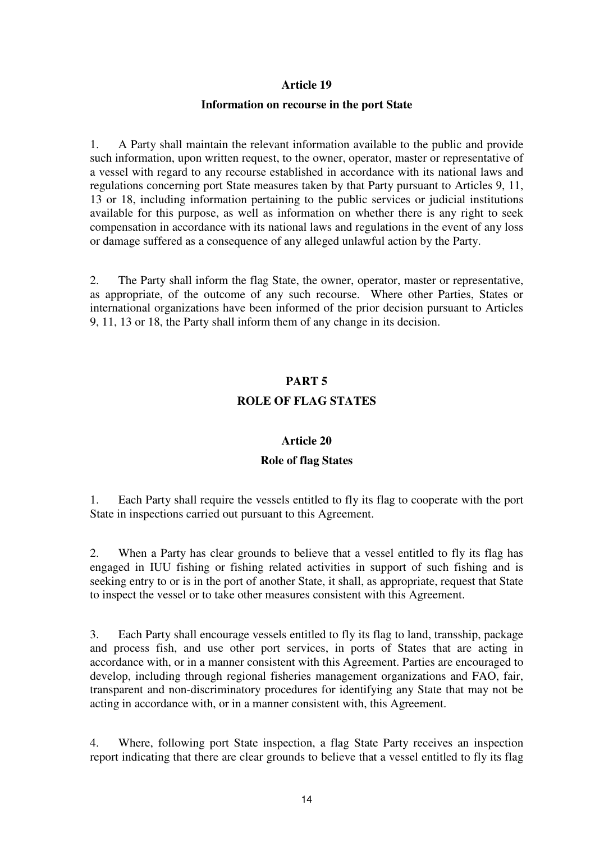#### **Information on recourse in the port State**

1. A Party shall maintain the relevant information available to the public and provide such information, upon written request, to the owner, operator, master or representative of a vessel with regard to any recourse established in accordance with its national laws and regulations concerning port State measures taken by that Party pursuant to Articles 9, 11, 13 or 18, including information pertaining to the public services or judicial institutions available for this purpose, as well as information on whether there is any right to seek compensation in accordance with its national laws and regulations in the event of any loss or damage suffered as a consequence of any alleged unlawful action by the Party.

2. The Party shall inform the flag State, the owner, operator, master or representative, as appropriate, of the outcome of any such recourse. Where other Parties, States or international organizations have been informed of the prior decision pursuant to Articles 9, 11, 13 or 18, the Party shall inform them of any change in its decision.

# **PART 5 ROLE OF FLAG STATES**

## **Article 20**

## **Role of flag States**

1. Each Party shall require the vessels entitled to fly its flag to cooperate with the port State in inspections carried out pursuant to this Agreement.

2. When a Party has clear grounds to believe that a vessel entitled to fly its flag has engaged in IUU fishing or fishing related activities in support of such fishing and is seeking entry to or is in the port of another State, it shall, as appropriate, request that State to inspect the vessel or to take other measures consistent with this Agreement.

3. Each Party shall encourage vessels entitled to fly its flag to land, transship, package and process fish, and use other port services, in ports of States that are acting in accordance with, or in a manner consistent with this Agreement. Parties are encouraged to develop, including through regional fisheries management organizations and FAO, fair, transparent and non-discriminatory procedures for identifying any State that may not be acting in accordance with, or in a manner consistent with, this Agreement.

4. Where, following port State inspection, a flag State Party receives an inspection report indicating that there are clear grounds to believe that a vessel entitled to fly its flag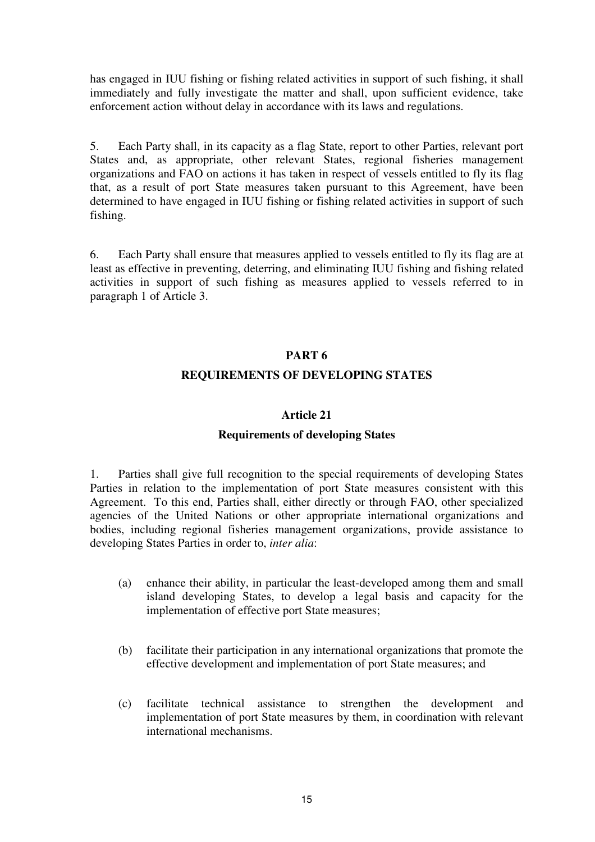has engaged in IUU fishing or fishing related activities in support of such fishing, it shall immediately and fully investigate the matter and shall, upon sufficient evidence, take enforcement action without delay in accordance with its laws and regulations.

5. Each Party shall, in its capacity as a flag State, report to other Parties, relevant port States and, as appropriate, other relevant States, regional fisheries management organizations and FAO on actions it has taken in respect of vessels entitled to fly its flag that, as a result of port State measures taken pursuant to this Agreement, have been determined to have engaged in IUU fishing or fishing related activities in support of such fishing.

6. Each Party shall ensure that measures applied to vessels entitled to fly its flag are at least as effective in preventing, deterring, and eliminating IUU fishing and fishing related activities in support of such fishing as measures applied to vessels referred to in paragraph 1 of Article 3.

# **PART 6**

# **REQUIREMENTS OF DEVELOPING STATES**

## **Article 21**

## **Requirements of developing States**

1. Parties shall give full recognition to the special requirements of developing States Parties in relation to the implementation of port State measures consistent with this Agreement. To this end, Parties shall, either directly or through FAO, other specialized agencies of the United Nations or other appropriate international organizations and bodies, including regional fisheries management organizations, provide assistance to developing States Parties in order to, *inter alia*:

- (a) enhance their ability, in particular the least-developed among them and small island developing States, to develop a legal basis and capacity for the implementation of effective port State measures;
- (b) facilitate their participation in any international organizations that promote the effective development and implementation of port State measures; and
- (c) facilitate technical assistance to strengthen the development and implementation of port State measures by them, in coordination with relevant international mechanisms.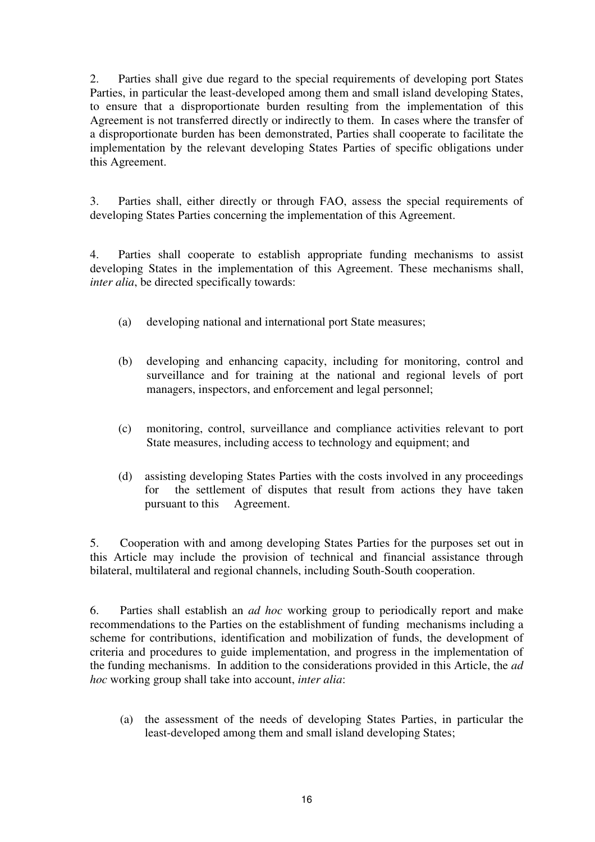2. Parties shall give due regard to the special requirements of developing port States Parties, in particular the least-developed among them and small island developing States, to ensure that a disproportionate burden resulting from the implementation of this Agreement is not transferred directly or indirectly to them. In cases where the transfer of a disproportionate burden has been demonstrated, Parties shall cooperate to facilitate the implementation by the relevant developing States Parties of specific obligations under this Agreement.

3. Parties shall, either directly or through FAO, assess the special requirements of developing States Parties concerning the implementation of this Agreement.

4. Parties shall cooperate to establish appropriate funding mechanisms to assist developing States in the implementation of this Agreement. These mechanisms shall, *inter alia*, be directed specifically towards:

- (a) developing national and international port State measures;
- (b) developing and enhancing capacity, including for monitoring, control and surveillance and for training at the national and regional levels of port managers, inspectors, and enforcement and legal personnel;
- (c) monitoring, control, surveillance and compliance activities relevant to port State measures, including access to technology and equipment; and
- (d) assisting developing States Parties with the costs involved in any proceedings for the settlement of disputes that result from actions they have taken pursuant to this Agreement.

5. Cooperation with and among developing States Parties for the purposes set out in this Article may include the provision of technical and financial assistance through bilateral, multilateral and regional channels, including South-South cooperation.

6. Parties shall establish an *ad hoc* working group to periodically report and make recommendations to the Parties on the establishment of funding mechanisms including a scheme for contributions, identification and mobilization of funds, the development of criteria and procedures to guide implementation, and progress in the implementation of the funding mechanisms. In addition to the considerations provided in this Article, the *ad hoc* working group shall take into account, *inter alia*:

(a) the assessment of the needs of developing States Parties, in particular the least-developed among them and small island developing States;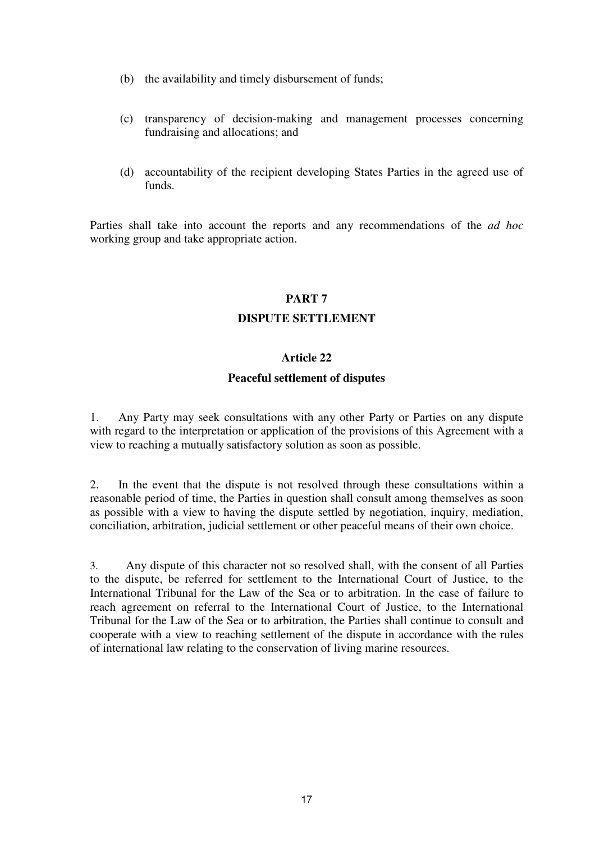- (b) the availability and timely disbursement of funds;
- (c) transparency of decision-making and management processes concerning fundraising and allocations; and
- (d) accountability of the recipient developing States Parties in the agreed use of funds.

Parties shall take into account the reports and any recommendations of the *ad hoc* working group and take appropriate action.

#### **PART 7**

## **DISPUTE SETTLEMENT**

#### **Article 22**

#### **Peaceful settlement of disputes**

1. Any Party may seek consultations with any other Party or Parties on any dispute with regard to the interpretation or application of the provisions of this Agreement with a view to reaching a mutually satisfactory solution as soon as possible.

2. In the event that the dispute is not resolved through these consultations within a reasonable period of time, the Parties in question shall consult among themselves as soon as possible with a view to having the dispute settled by negotiation, inquiry, mediation, conciliation, arbitration, judicial settlement or other peaceful means of their own choice.

3. Any dispute of this character not so resolved shall, with the consent of all Parties to the dispute, be referred for settlement to the International Court of Justice, to the International Tribunal for the Law of the Sea or to arbitration. In the case of failure to reach agreement on referral to the International Court of Justice, to the International Tribunal for the Law of the Sea or to arbitration, the Parties shall continue to consult and cooperate with a view to reaching settlement of the dispute in accordance with the rules of international law relating to the conservation of living marine resources.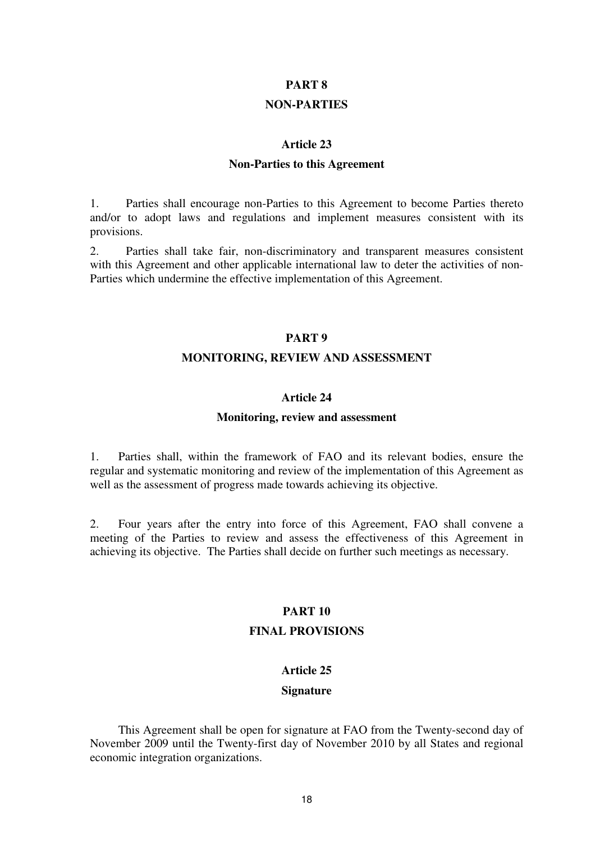#### **PART 8**

#### **NON-PARTIES**

#### **Article 23**

#### **Non-Parties to this Agreement**

1. Parties shall encourage non-Parties to this Agreement to become Parties thereto and/or to adopt laws and regulations and implement measures consistent with its provisions.

2. Parties shall take fair, non-discriminatory and transparent measures consistent with this Agreement and other applicable international law to deter the activities of non-Parties which undermine the effective implementation of this Agreement.

## **PART 9**

#### **MONITORING, REVIEW AND ASSESSMENT**

#### **Article 24**

#### **Monitoring, review and assessment**

1. Parties shall, within the framework of FAO and its relevant bodies, ensure the regular and systematic monitoring and review of the implementation of this Agreement as well as the assessment of progress made towards achieving its objective.

2. Four years after the entry into force of this Agreement, FAO shall convene a meeting of the Parties to review and assess the effectiveness of this Agreement in achieving its objective. The Parties shall decide on further such meetings as necessary.

#### **PART 10**

## **FINAL PROVISIONS**

#### **Article 25**

#### **Signature**

 This Agreement shall be open for signature at FAO from the Twenty-second day of November 2009 until the Twenty-first day of November 2010 by all States and regional economic integration organizations.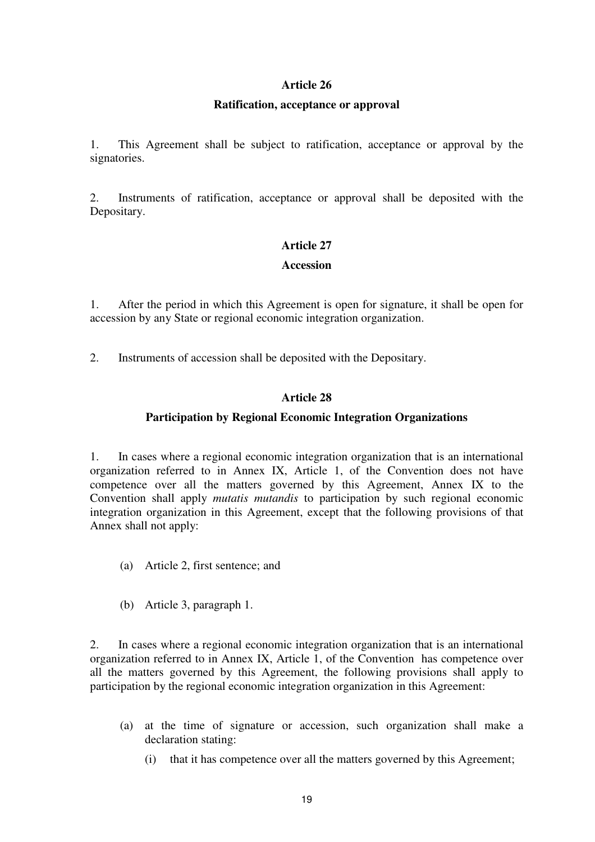#### **Ratification, acceptance or approval**

1. This Agreement shall be subject to ratification, acceptance or approval by the signatories.

2. Instruments of ratification, acceptance or approval shall be deposited with the Depositary.

#### **Article 27**

## **Accession**

1. After the period in which this Agreement is open for signature, it shall be open for accession by any State or regional economic integration organization.

2. Instruments of accession shall be deposited with the Depositary.

# **Article 28**

# **Participation by Regional Economic Integration Organizations**

1. In cases where a regional economic integration organization that is an international organization referred to in Annex IX, Article 1, of the Convention does not have competence over all the matters governed by this Agreement, Annex IX to the Convention shall apply *mutatis mutandis* to participation by such regional economic integration organization in this Agreement, except that the following provisions of that Annex shall not apply:

- (a) Article 2, first sentence; and
- (b) Article 3, paragraph 1.

2. In cases where a regional economic integration organization that is an international organization referred to in Annex IX, Article 1, of the Convention has competence over all the matters governed by this Agreement, the following provisions shall apply to participation by the regional economic integration organization in this Agreement:

- (a) at the time of signature or accession, such organization shall make a declaration stating:
	- (i) that it has competence over all the matters governed by this Agreement;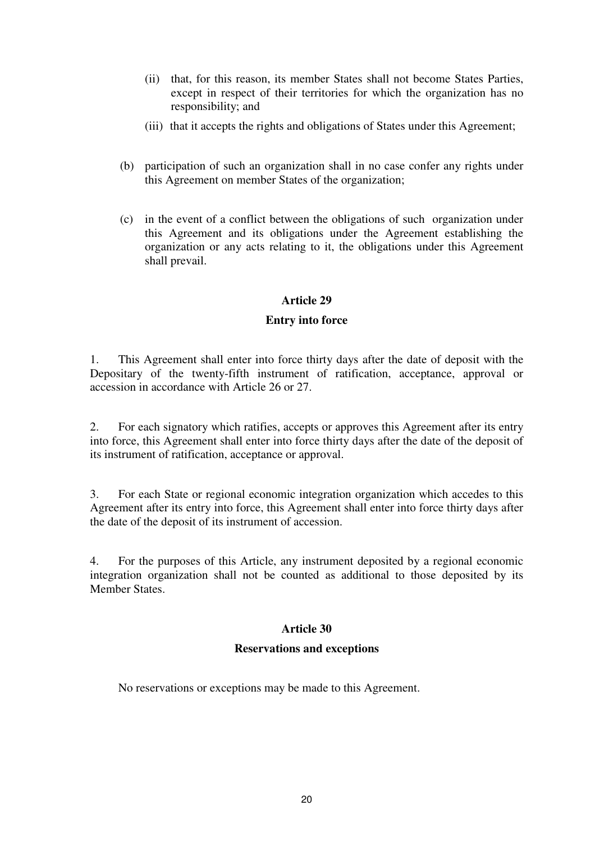- (ii) that, for this reason, its member States shall not become States Parties, except in respect of their territories for which the organization has no responsibility; and
- (iii) that it accepts the rights and obligations of States under this Agreement;
- (b) participation of such an organization shall in no case confer any rights under this Agreement on member States of the organization;
- (c) in the event of a conflict between the obligations of such organization under this Agreement and its obligations under the Agreement establishing the organization or any acts relating to it, the obligations under this Agreement shall prevail.

# **Entry into force**

1. This Agreement shall enter into force thirty days after the date of deposit with the Depositary of the twenty-fifth instrument of ratification, acceptance, approval or accession in accordance with Article 26 or 27.

2. For each signatory which ratifies, accepts or approves this Agreement after its entry into force, this Agreement shall enter into force thirty days after the date of the deposit of its instrument of ratification, acceptance or approval.

3. For each State or regional economic integration organization which accedes to this Agreement after its entry into force, this Agreement shall enter into force thirty days after the date of the deposit of its instrument of accession.

4. For the purposes of this Article, any instrument deposited by a regional economic integration organization shall not be counted as additional to those deposited by its Member States.

## **Article 30**

## **Reservations and exceptions**

No reservations or exceptions may be made to this Agreement.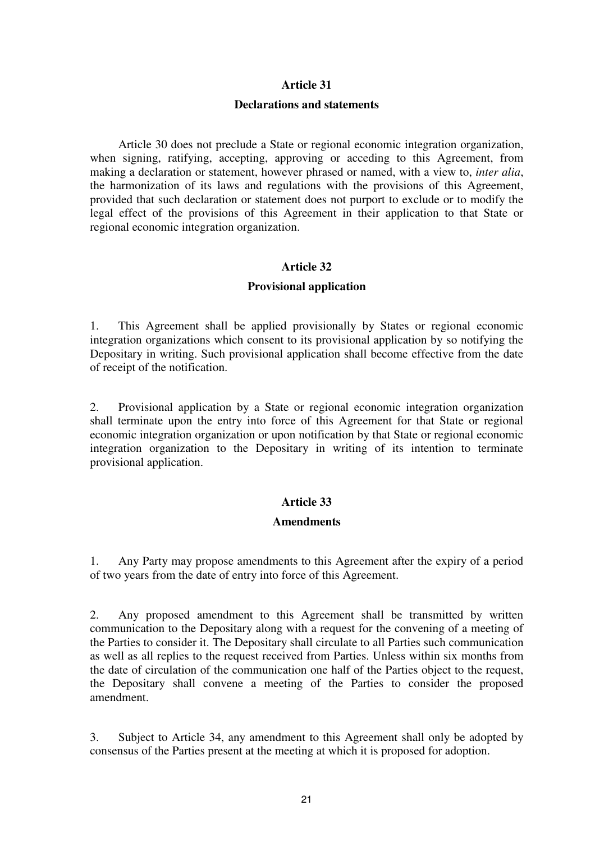#### **Declarations and statements**

 Article 30 does not preclude a State or regional economic integration organization, when signing, ratifying, accepting, approving or acceding to this Agreement, from making a declaration or statement, however phrased or named, with a view to, *inter alia*, the harmonization of its laws and regulations with the provisions of this Agreement, provided that such declaration or statement does not purport to exclude or to modify the legal effect of the provisions of this Agreement in their application to that State or regional economic integration organization.

#### **Article 32**

#### **Provisional application**

1. This Agreement shall be applied provisionally by States or regional economic integration organizations which consent to its provisional application by so notifying the Depositary in writing. Such provisional application shall become effective from the date of receipt of the notification.

2. Provisional application by a State or regional economic integration organization shall terminate upon the entry into force of this Agreement for that State or regional economic integration organization or upon notification by that State or regional economic integration organization to the Depositary in writing of its intention to terminate provisional application.

# **Article 33**

#### **Amendments**

1. Any Party may propose amendments to this Agreement after the expiry of a period of two years from the date of entry into force of this Agreement.

2. Any proposed amendment to this Agreement shall be transmitted by written communication to the Depositary along with a request for the convening of a meeting of the Parties to consider it. The Depositary shall circulate to all Parties such communication as well as all replies to the request received from Parties. Unless within six months from the date of circulation of the communication one half of the Parties object to the request, the Depositary shall convene a meeting of the Parties to consider the proposed amendment.

3. Subject to Article 34, any amendment to this Agreement shall only be adopted by consensus of the Parties present at the meeting at which it is proposed for adoption.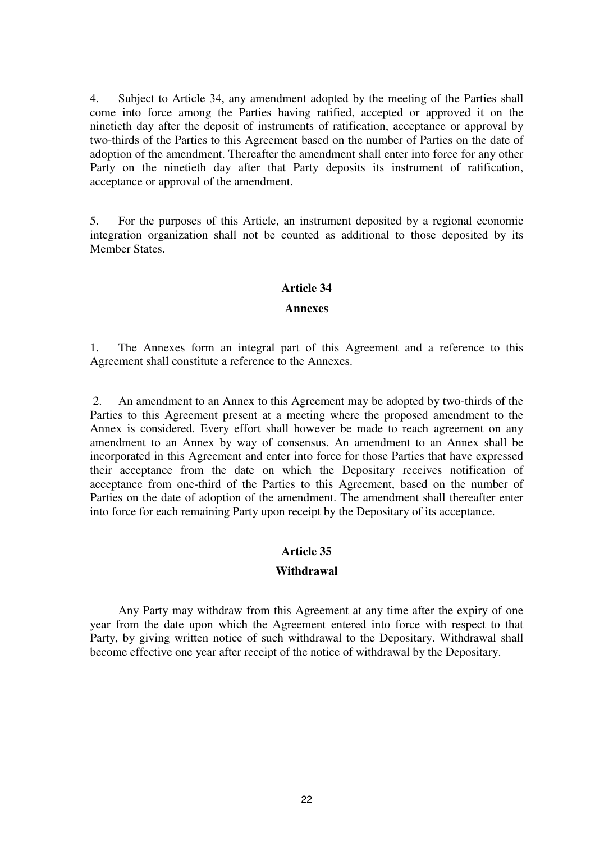4. Subject to Article 34, any amendment adopted by the meeting of the Parties shall come into force among the Parties having ratified, accepted or approved it on the ninetieth day after the deposit of instruments of ratification, acceptance or approval by two-thirds of the Parties to this Agreement based on the number of Parties on the date of adoption of the amendment. Thereafter the amendment shall enter into force for any other Party on the ninetieth day after that Party deposits its instrument of ratification, acceptance or approval of the amendment.

5. For the purposes of this Article, an instrument deposited by a regional economic integration organization shall not be counted as additional to those deposited by its Member States.

#### **Article 34**

#### **Annexes**

1. The Annexes form an integral part of this Agreement and a reference to this Agreement shall constitute a reference to the Annexes.

2. An amendment to an Annex to this Agreement may be adopted by two-thirds of the Parties to this Agreement present at a meeting where the proposed amendment to the Annex is considered. Every effort shall however be made to reach agreement on any amendment to an Annex by way of consensus. An amendment to an Annex shall be incorporated in this Agreement and enter into force for those Parties that have expressed their acceptance from the date on which the Depositary receives notification of acceptance from one-third of the Parties to this Agreement, based on the number of Parties on the date of adoption of the amendment. The amendment shall thereafter enter into force for each remaining Party upon receipt by the Depositary of its acceptance.

## **Article 35**

## **Withdrawal**

 Any Party may withdraw from this Agreement at any time after the expiry of one year from the date upon which the Agreement entered into force with respect to that Party, by giving written notice of such withdrawal to the Depositary. Withdrawal shall become effective one year after receipt of the notice of withdrawal by the Depositary.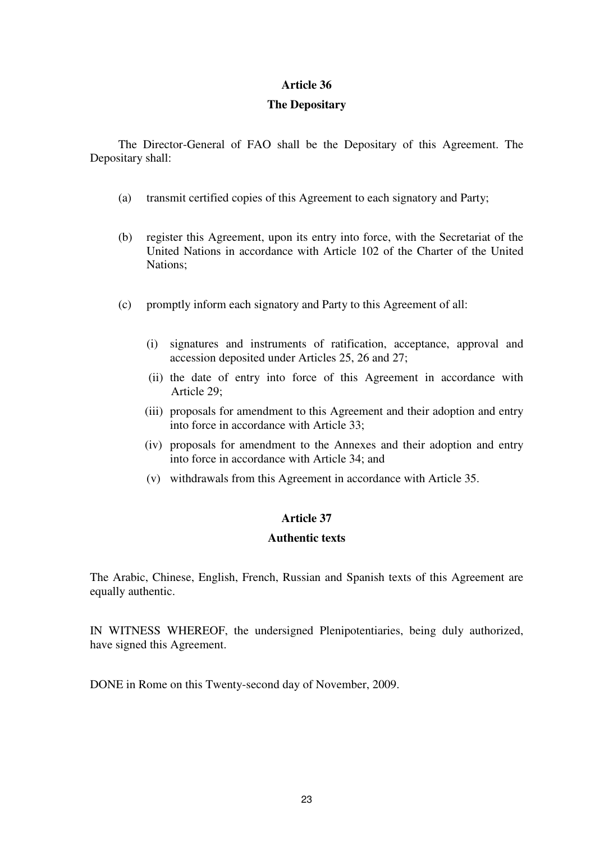#### **The Depositary**

 The Director-General of FAO shall be the Depositary of this Agreement. The Depositary shall:

- (a) transmit certified copies of this Agreement to each signatory and Party;
- (b) register this Agreement, upon its entry into force, with the Secretariat of the United Nations in accordance with Article 102 of the Charter of the United Nations;
- (c) promptly inform each signatory and Party to this Agreement of all:
	- (i) signatures and instruments of ratification, acceptance, approval and accession deposited under Articles 25, 26 and 27;
	- (ii) the date of entry into force of this Agreement in accordance with Article 29;
	- (iii) proposals for amendment to this Agreement and their adoption and entry into force in accordance with Article 33;
	- (iv) proposals for amendment to the Annexes and their adoption and entry into force in accordance with Article 34; and
	- (v) withdrawals from this Agreement in accordance with Article 35.

# **Article 37**

## **Authentic texts**

The Arabic, Chinese, English, French, Russian and Spanish texts of this Agreement are equally authentic.

IN WITNESS WHEREOF, the undersigned Plenipotentiaries, being duly authorized, have signed this Agreement.

DONE in Rome on this Twenty-second day of November, 2009.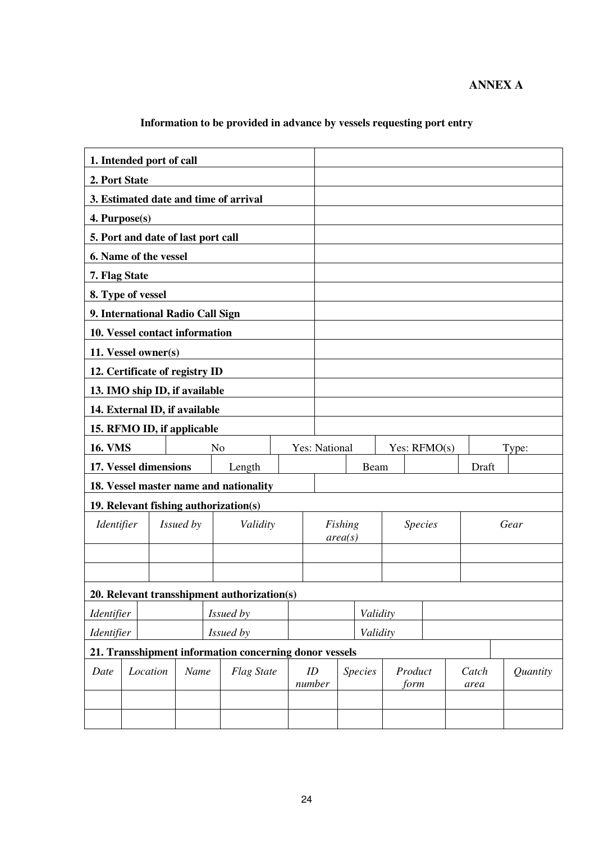**ANNEX A** 

|                                        |  | 1. Intended port of call |                                    |                                                        |  |                    |                |                 |  |               |          |
|----------------------------------------|--|--------------------------|------------------------------------|--------------------------------------------------------|--|--------------------|----------------|-----------------|--|---------------|----------|
| 2. Port State                          |  |                          |                                    |                                                        |  |                    |                |                 |  |               |          |
| 3. Estimated date and time of arrival  |  |                          |                                    |                                                        |  |                    |                |                 |  |               |          |
| 4. Purpose(s)                          |  |                          |                                    |                                                        |  |                    |                |                 |  |               |          |
|                                        |  |                          | 5. Port and date of last port call |                                                        |  |                    |                |                 |  |               |          |
|                                        |  | 6. Name of the vessel    |                                    |                                                        |  |                    |                |                 |  |               |          |
| 7. Flag State                          |  |                          |                                    |                                                        |  |                    |                |                 |  |               |          |
| 8. Type of vessel                      |  |                          |                                    |                                                        |  |                    |                |                 |  |               |          |
|                                        |  |                          | 9. International Radio Call Sign   |                                                        |  |                    |                |                 |  |               |          |
|                                        |  |                          | 10. Vessel contact information     |                                                        |  |                    |                |                 |  |               |          |
|                                        |  | 11. Vessel owner(s)      |                                    |                                                        |  |                    |                |                 |  |               |          |
|                                        |  |                          | 12. Certificate of registry ID     |                                                        |  |                    |                |                 |  |               |          |
|                                        |  |                          | 13. IMO ship ID, if available      |                                                        |  |                    |                |                 |  |               |          |
|                                        |  |                          | 14. External ID, if available      |                                                        |  |                    |                |                 |  |               |          |
|                                        |  |                          | 15. RFMO ID, if applicable         |                                                        |  |                    |                |                 |  |               |          |
| <b>16. VMS</b><br>N <sub>o</sub>       |  |                          |                                    |                                                        |  | Yes: National      |                | Yes: $RFMO(s)$  |  |               | Type:    |
| 17. Vessel dimensions<br>Length        |  |                          |                                    | Beam                                                   |  |                    | Draft          |                 |  |               |          |
| 18. Vessel master name and nationality |  |                          |                                    |                                                        |  |                    |                |                 |  |               |          |
|                                        |  |                          |                                    | 19. Relevant fishing authorization(s)                  |  |                    |                |                 |  |               |          |
| <b>Identifier</b>                      |  | Issued by                | Validity                           |                                                        |  | Fishing<br>area(s) |                | <b>Species</b>  |  | Gear          |          |
|                                        |  |                          |                                    |                                                        |  |                    |                |                 |  |               |          |
|                                        |  |                          |                                    |                                                        |  |                    |                |                 |  |               |          |
|                                        |  |                          |                                    | 20. Relevant transshipment authorization(s)            |  |                    |                |                 |  |               |          |
| <b>Identifier</b>                      |  |                          | Issued by                          |                                                        |  |                    | Validity       |                 |  |               |          |
| <b>Identifier</b>                      |  |                          | Issued by                          |                                                        |  | Validity           |                |                 |  |               |          |
|                                        |  |                          |                                    | 21. Transshipment information concerning donor vessels |  |                    |                |                 |  |               |          |
| Date                                   |  | Location                 | Name                               | <b>Flag State</b>                                      |  | ID<br>number       | <b>Species</b> | Product<br>form |  | Catch<br>area | Quantity |
|                                        |  |                          |                                    |                                                        |  |                    |                |                 |  |               |          |
|                                        |  |                          |                                    |                                                        |  |                    |                |                 |  |               |          |

**Information to be provided in advance by vessels requesting port entry**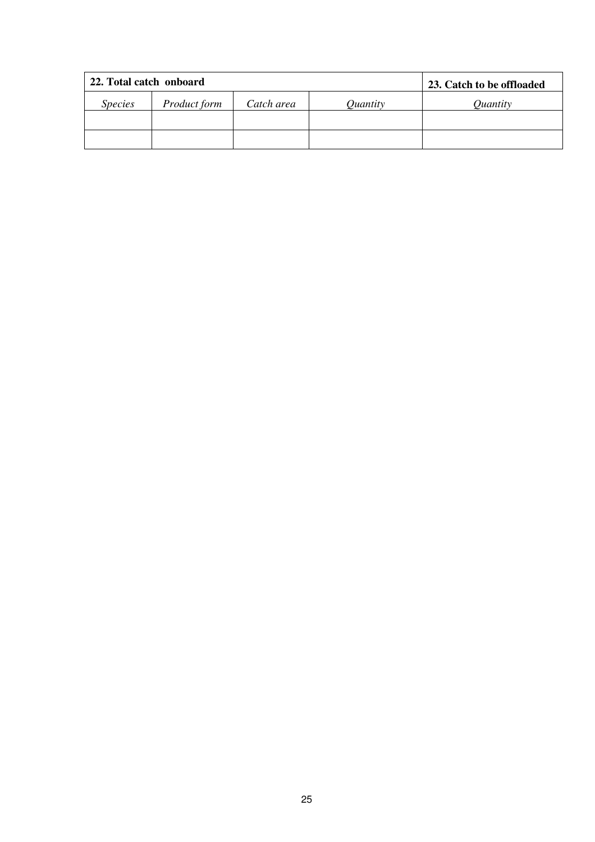| 22. Total catch onboard |              | 23. Catch to be offloaded |          |          |
|-------------------------|--------------|---------------------------|----------|----------|
| <i>Species</i>          | Product form | Catch area                | Quantity | Quantity |
|                         |              |                           |          |          |
|                         |              |                           |          |          |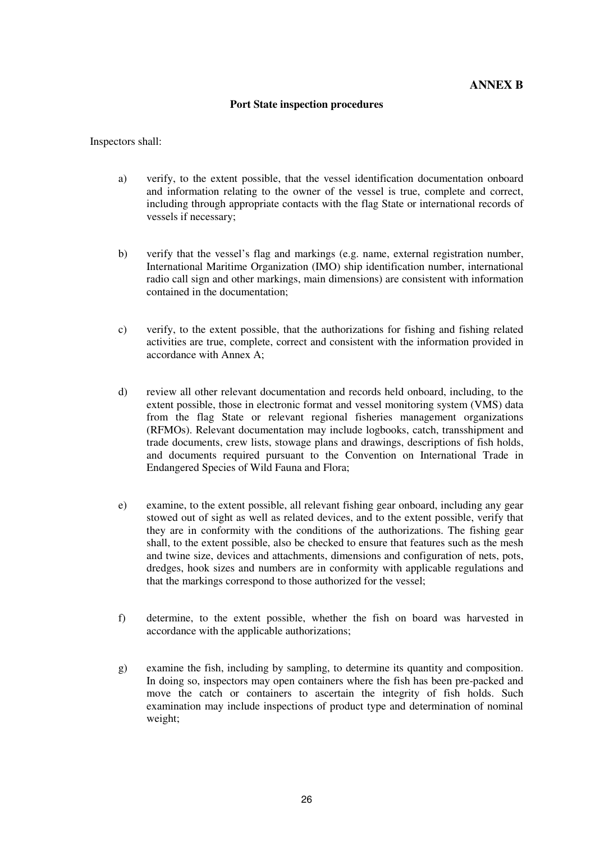#### **Port State inspection procedures**

#### Inspectors shall:

- a) verify, to the extent possible, that the vessel identification documentation onboard and information relating to the owner of the vessel is true, complete and correct, including through appropriate contacts with the flag State or international records of vessels if necessary;
- b) verify that the vessel's flag and markings (e.g. name, external registration number, International Maritime Organization (IMO) ship identification number, international radio call sign and other markings, main dimensions) are consistent with information contained in the documentation;
- c) verify, to the extent possible, that the authorizations for fishing and fishing related activities are true, complete, correct and consistent with the information provided in accordance with Annex A;
- d) review all other relevant documentation and records held onboard, including, to the extent possible, those in electronic format and vessel monitoring system (VMS) data from the flag State or relevant regional fisheries management organizations (RFMOs). Relevant documentation may include logbooks, catch, transshipment and trade documents, crew lists, stowage plans and drawings, descriptions of fish holds, and documents required pursuant to the Convention on International Trade in Endangered Species of Wild Fauna and Flora;
- e) examine, to the extent possible, all relevant fishing gear onboard, including any gear stowed out of sight as well as related devices, and to the extent possible, verify that they are in conformity with the conditions of the authorizations. The fishing gear shall, to the extent possible, also be checked to ensure that features such as the mesh and twine size, devices and attachments, dimensions and configuration of nets, pots, dredges, hook sizes and numbers are in conformity with applicable regulations and that the markings correspond to those authorized for the vessel;
- f) determine, to the extent possible, whether the fish on board was harvested in accordance with the applicable authorizations;
- g) examine the fish, including by sampling, to determine its quantity and composition. In doing so, inspectors may open containers where the fish has been pre-packed and move the catch or containers to ascertain the integrity of fish holds. Such examination may include inspections of product type and determination of nominal weight;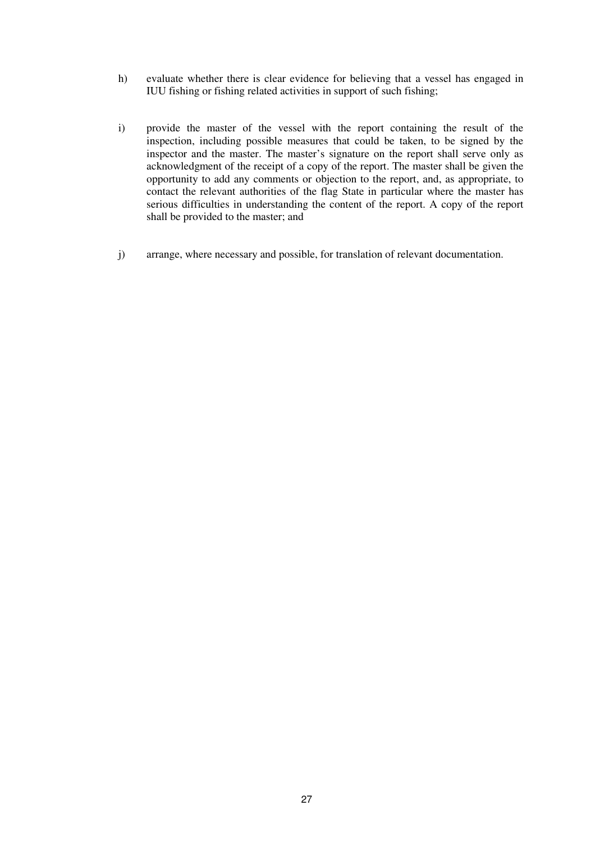- h) evaluate whether there is clear evidence for believing that a vessel has engaged in IUU fishing or fishing related activities in support of such fishing;
- i) provide the master of the vessel with the report containing the result of the inspection, including possible measures that could be taken, to be signed by the inspector and the master. The master's signature on the report shall serve only as acknowledgment of the receipt of a copy of the report. The master shall be given the opportunity to add any comments or objection to the report, and, as appropriate, to contact the relevant authorities of the flag State in particular where the master has serious difficulties in understanding the content of the report. A copy of the report shall be provided to the master; and
- j) arrange, where necessary and possible, for translation of relevant documentation.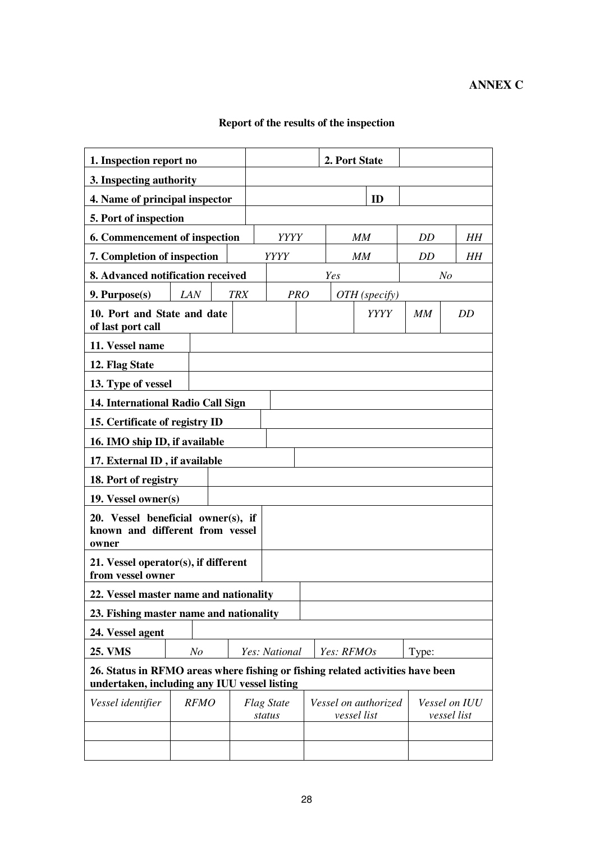# **Report of the results of the inspection**

| 1. Inspection report no                                                                                                        |                       |             |                             |                             | 2. Port State                       |                |                              |    |  |  |
|--------------------------------------------------------------------------------------------------------------------------------|-----------------------|-------------|-----------------------------|-----------------------------|-------------------------------------|----------------|------------------------------|----|--|--|
|                                                                                                                                |                       |             |                             |                             |                                     |                |                              |    |  |  |
| 3. Inspecting authority                                                                                                        |                       |             |                             |                             |                                     |                |                              |    |  |  |
| 4. Name of principal inspector                                                                                                 |                       |             |                             |                             | ID                                  |                |                              |    |  |  |
|                                                                                                                                | 5. Port of inspection |             |                             |                             |                                     |                |                              |    |  |  |
| <b>6. Commencement of inspection</b>                                                                                           |                       | <b>YYYY</b> |                             | MМ                          |                                     | DD             | HН                           |    |  |  |
| 7. Completion of inspection                                                                                                    |                       |             | <b>YYYY</b>                 |                             | MM                                  |                | DD                           | HН |  |  |
| 8. Advanced notification received                                                                                              |                       |             |                             |                             |                                     | N <sub>o</sub> |                              |    |  |  |
| 9. Purpose(s)                                                                                                                  | <b>LAN</b>            | <b>TRX</b>  |                             | <b>PRO</b><br>OTH (specify) |                                     |                |                              |    |  |  |
| 10. Port and State and date<br>of last port call                                                                               |                       |             |                             |                             |                                     | <i>YYYY</i>    | MM                           | DD |  |  |
| 11. Vessel name                                                                                                                |                       |             |                             |                             |                                     |                |                              |    |  |  |
| 12. Flag State                                                                                                                 |                       |             |                             |                             |                                     |                |                              |    |  |  |
| 13. Type of vessel                                                                                                             |                       |             |                             |                             |                                     |                |                              |    |  |  |
| 14. International Radio Call Sign                                                                                              |                       |             |                             |                             |                                     |                |                              |    |  |  |
| 15. Certificate of registry ID                                                                                                 |                       |             |                             |                             |                                     |                |                              |    |  |  |
| 16. IMO ship ID, if available                                                                                                  |                       |             |                             |                             |                                     |                |                              |    |  |  |
| 17. External ID, if available                                                                                                  |                       |             |                             |                             |                                     |                |                              |    |  |  |
| 18. Port of registry                                                                                                           |                       |             |                             |                             |                                     |                |                              |    |  |  |
| 19. Vessel owner(s)                                                                                                            |                       |             |                             |                             |                                     |                |                              |    |  |  |
| 20. Vessel beneficial owner(s), if<br>known and different from vessel<br>owner                                                 |                       |             |                             |                             |                                     |                |                              |    |  |  |
| 21. Vessel operator(s), if different<br>from vessel owner                                                                      |                       |             |                             |                             |                                     |                |                              |    |  |  |
| 22. Vessel master name and nationality                                                                                         |                       |             |                             |                             |                                     |                |                              |    |  |  |
| 23. Fishing master name and nationality                                                                                        |                       |             |                             |                             |                                     |                |                              |    |  |  |
| 24. Vessel agent                                                                                                               |                       |             |                             |                             |                                     |                |                              |    |  |  |
| <b>25. VMS</b><br>N <sub>O</sub>                                                                                               |                       |             | Yes: National               |                             | Yes: RFMOs                          |                | Type:                        |    |  |  |
| 26. Status in RFMO areas where fishing or fishing related activities have been<br>undertaken, including any IUU vessel listing |                       |             |                             |                             |                                     |                |                              |    |  |  |
| Vessel identifier                                                                                                              | <b>RFMO</b>           |             | <b>Flag State</b><br>status |                             | Vessel on authorized<br>vessel list |                | Vessel on IUU<br>vessel list |    |  |  |
|                                                                                                                                |                       |             |                             |                             |                                     |                |                              |    |  |  |
|                                                                                                                                |                       |             |                             |                             |                                     |                |                              |    |  |  |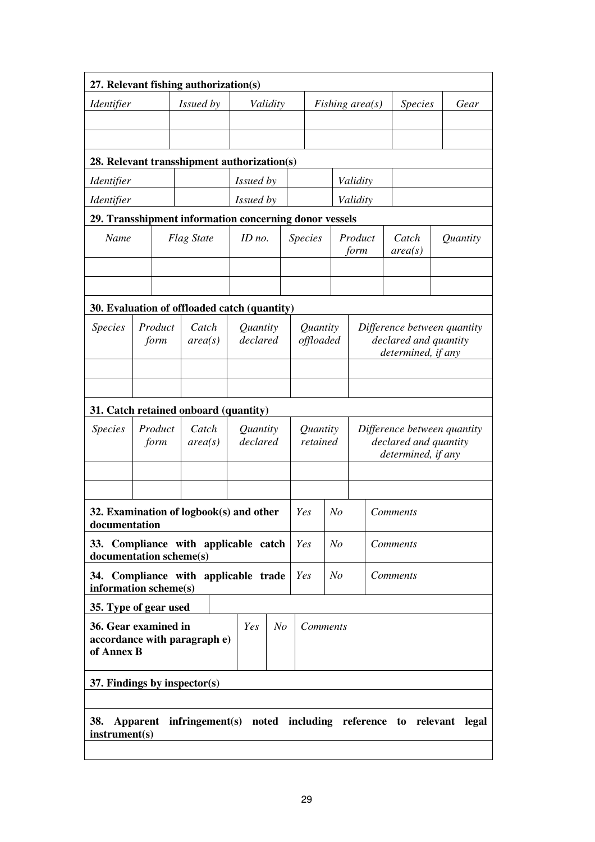|                                                                                                           |  |  | 27. Relevant fishing authorization(s)                  |                      |  |                      |                       |                        |                                                                            |          |  |
|-----------------------------------------------------------------------------------------------------------|--|--|--------------------------------------------------------|----------------------|--|----------------------|-----------------------|------------------------|----------------------------------------------------------------------------|----------|--|
| <b>Identifier</b>                                                                                         |  |  | <i>Issued by</i>                                       | Validity             |  |                      |                       | <i>Fishing area(s)</i> | <i>Species</i>                                                             | Gear     |  |
|                                                                                                           |  |  |                                                        |                      |  |                      |                       |                        |                                                                            |          |  |
|                                                                                                           |  |  |                                                        |                      |  |                      |                       |                        |                                                                            |          |  |
|                                                                                                           |  |  | 28. Relevant transshipment authorization(s)            |                      |  |                      |                       |                        |                                                                            |          |  |
| <i>Identifier</i>                                                                                         |  |  |                                                        | <i>Issued by</i>     |  |                      |                       | Validity               |                                                                            |          |  |
| <i><u><b>Identifier</b></u></i>                                                                           |  |  |                                                        | <i>Issued by</i>     |  |                      |                       | Validity               |                                                                            |          |  |
|                                                                                                           |  |  | 29. Transshipment information concerning donor vessels |                      |  |                      |                       |                        |                                                                            |          |  |
| Name                                                                                                      |  |  | <b>Flag State</b>                                      | ID no.               |  | <b>Species</b>       |                       | Product<br>form        | Catch<br>area(s)                                                           | Quantity |  |
|                                                                                                           |  |  |                                                        |                      |  |                      |                       |                        |                                                                            |          |  |
|                                                                                                           |  |  |                                                        |                      |  |                      |                       |                        |                                                                            |          |  |
|                                                                                                           |  |  | 30. Evaluation of offloaded catch (quantity)           |                      |  |                      |                       |                        |                                                                            |          |  |
| Product<br><b>Species</b><br>form                                                                         |  |  | Catch<br>area(s)                                       | Quantity<br>declared |  |                      | Quantity<br>offloaded |                        | Difference between quantity<br>declared and quantity<br>determined, if any |          |  |
|                                                                                                           |  |  |                                                        |                      |  |                      |                       |                        |                                                                            |          |  |
|                                                                                                           |  |  |                                                        |                      |  |                      |                       |                        |                                                                            |          |  |
|                                                                                                           |  |  | 31. Catch retained onboard (quantity)                  |                      |  |                      |                       |                        |                                                                            |          |  |
| Product<br><b>Species</b><br>form                                                                         |  |  | Catch<br>area(s)                                       | Quantity<br>declared |  | Quantity<br>retained |                       |                        | Difference between quantity<br>declared and quantity<br>determined, if any |          |  |
|                                                                                                           |  |  |                                                        |                      |  |                      |                       |                        |                                                                            |          |  |
|                                                                                                           |  |  |                                                        |                      |  |                      |                       |                        |                                                                            |          |  |
| documentation                                                                                             |  |  | 32. Examination of logbook(s) and other                |                      |  | Yes                  | N <sub>O</sub>        |                        | <b>Comments</b>                                                            |          |  |
| documentation scheme(s)                                                                                   |  |  | 33. Compliance with applicable catch                   |                      |  | Yes                  | N <sub>O</sub>        |                        | <i>Comments</i>                                                            |          |  |
| information scheme(s)                                                                                     |  |  | 34. Compliance with applicable trade                   |                      |  | Yes                  | No                    |                        | <i>Comments</i>                                                            |          |  |
| 35. Type of gear used                                                                                     |  |  |                                                        |                      |  |                      |                       |                        |                                                                            |          |  |
| 36. Gear examined in<br>of Annex B                                                                        |  |  | accordance with paragraph e)                           | Yes                  |  | <b>Comments</b>      |                       |                        |                                                                            |          |  |
| 37. Findings by inspector $(s)$                                                                           |  |  |                                                        |                      |  |                      |                       |                        |                                                                            |          |  |
|                                                                                                           |  |  |                                                        |                      |  |                      |                       |                        |                                                                            |          |  |
| 38.<br>infringement(s) noted including reference to relevant<br><b>Apparent</b><br>legal<br>instrument(s) |  |  |                                                        |                      |  |                      |                       |                        |                                                                            |          |  |

Π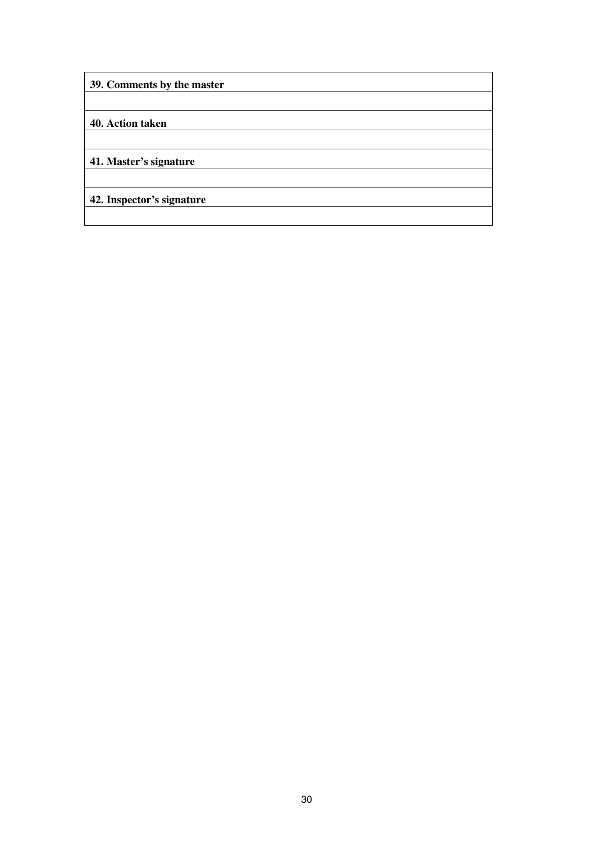| 39. Comments by the master |  |  |  |  |  |
|----------------------------|--|--|--|--|--|
|                            |  |  |  |  |  |
| 40. Action taken           |  |  |  |  |  |
|                            |  |  |  |  |  |
| 41. Master's signature     |  |  |  |  |  |
|                            |  |  |  |  |  |
| 42. Inspector's signature  |  |  |  |  |  |
|                            |  |  |  |  |  |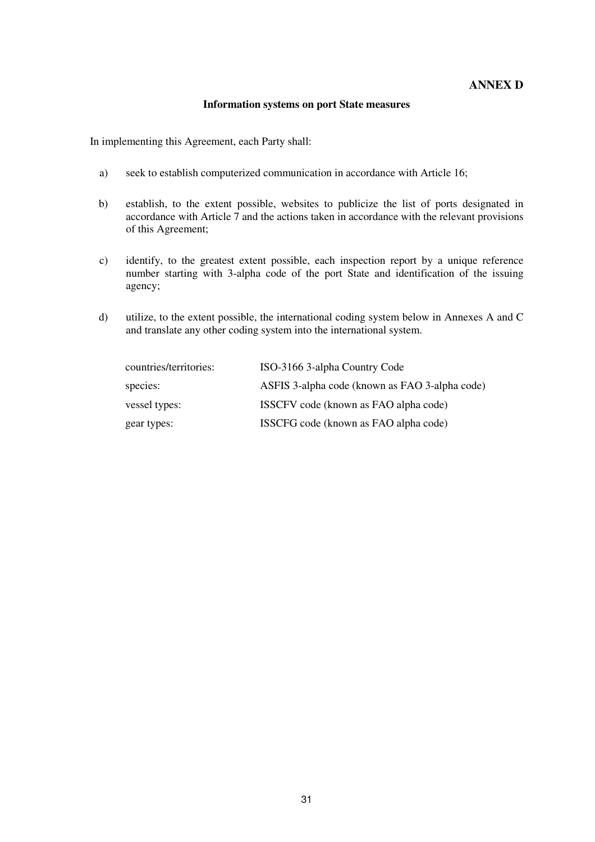#### **ANNEX D**

#### **Information systems on port State measures**

In implementing this Agreement, each Party shall:

- a) seek to establish computerized communication in accordance with Article 16;
- b) establish, to the extent possible, websites to publicize the list of ports designated in accordance with Article  $\overline{7}$  and the actions taken in accordance with the relevant provisions of this Agreement;
- c) identify, to the greatest extent possible, each inspection report by a unique reference number starting with 3-alpha code of the port State and identification of the issuing agency;
- d) utilize, to the extent possible, the international coding system below in Annexes A and C and translate any other coding system into the international system.

| countries/territories: | ISO-3166 3-alpha Country Code                  |
|------------------------|------------------------------------------------|
| species:               | ASFIS 3-alpha code (known as FAO 3-alpha code) |
| vessel types:          | ISSCFV code (known as FAO alpha code)          |
| gear types:            | ISSCFG code (known as FAO alpha code)          |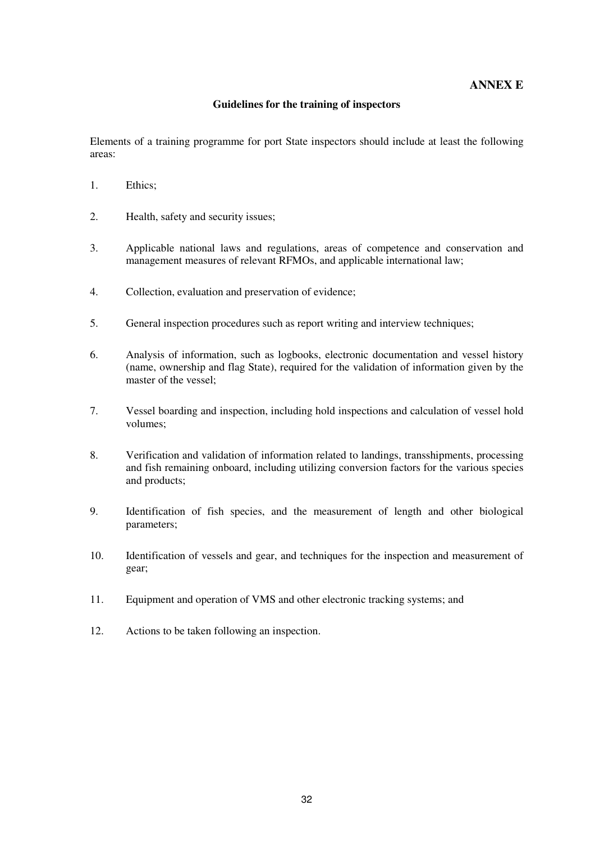#### **Guidelines for the training of inspectors**

Elements of a training programme for port State inspectors should include at least the following areas:

- 1. Ethics;
- 2. Health, safety and security issues;
- 3. Applicable national laws and regulations, areas of competence and conservation and management measures of relevant RFMOs, and applicable international law;
- 4. Collection, evaluation and preservation of evidence;
- 5. General inspection procedures such as report writing and interview techniques;
- 6. Analysis of information, such as logbooks, electronic documentation and vessel history (name, ownership and flag State), required for the validation of information given by the master of the vessel;
- 7. Vessel boarding and inspection, including hold inspections and calculation of vessel hold volumes;
- 8. Verification and validation of information related to landings, transshipments, processing and fish remaining onboard, including utilizing conversion factors for the various species and products;
- 9. Identification of fish species, and the measurement of length and other biological parameters;
- 10. Identification of vessels and gear, and techniques for the inspection and measurement of gear;
- 11. Equipment and operation of VMS and other electronic tracking systems; and
- 12. Actions to be taken following an inspection.